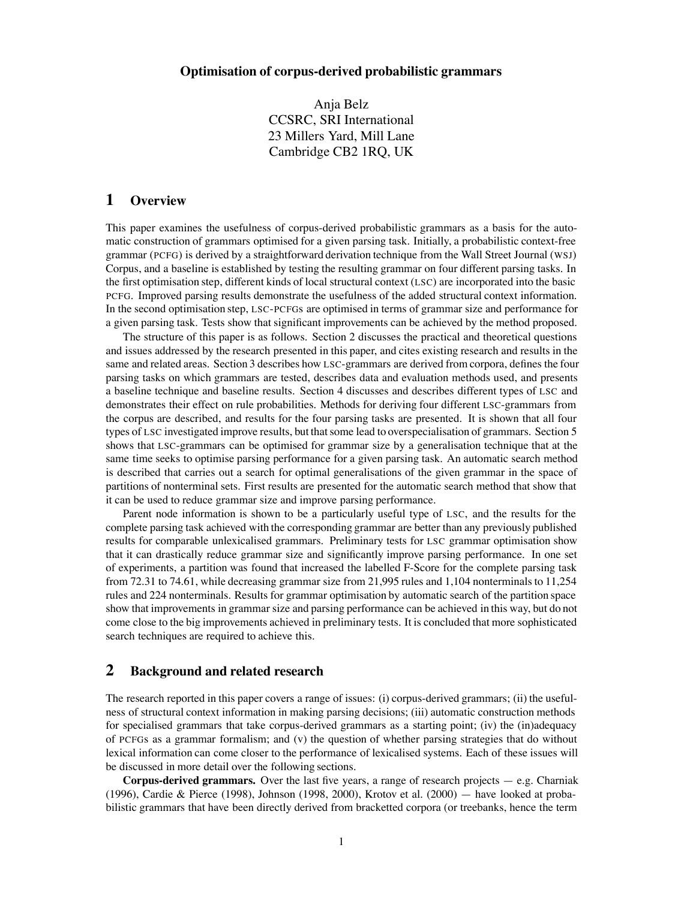Anja Belz CCSRC, SRI International 23 Millers Yard, Mill Lane Cambridge CB2 1RQ, UK

# **1 Overview**

This paper examines the usefulness of corpus-derived probabilistic grammars as a basis for the automatic construction of grammars optimised for a given parsing task. Initially, a probabilistic context-free grammar (PCFG) is derived by a straightforward derivation technique from the Wall Street Journal (WSJ) Corpus, and a baseline is established by testing the resulting grammar on four different parsing tasks. In the first optimisation step, different kinds of local structural context (LSC) are incorporated into the basic PCFG. Improved parsing results demonstrate the usefulness of the added structural context information. In the second optimisation step, LSC-PCFGs are optimised in terms of grammar size and performance for a given parsing task. Tests show that significant improvements can be achieved by the method proposed.

The structure of this paper is as follows. Section 2 discusses the practical and theoretical questions and issues addressed by the research presented in this paper, and cites existing research and results in the same and related areas. Section 3 describes how LSC-grammars are derived from corpora, defines the four parsing tasks on which grammars are tested, describes data and evaluation methods used, and presents a baseline technique and baseline results. Section 4 discusses and describes different types of LSC and demonstrates their effect on rule probabilities. Methods for deriving four different LSC-grammars from the corpus are described, and results for the four parsing tasks are presented. It is shown that all four types of LSC investigated improve results, but that some lead to overspecialisation of grammars. Section 5 shows that LSC-grammars can be optimised for grammar size by a generalisation technique that at the same time seeks to optimise parsing performance for a given parsing task. An automatic search method is described that carries out a search for optimal generalisations of the given grammar in the space of partitions of nonterminal sets. First results are presented for the automatic search method that show that it can be used to reduce grammar size and improve parsing performance.

Parent node information is shown to be a particularly useful type of LSC, and the results for the complete parsing task achieved with the corresponding grammar are better than any previously published results for comparable unlexicalised grammars. Preliminary tests for LSC grammar optimisation show that it can drastically reduce grammar size and significantly improve parsing performance. In one set of experiments, a partition was found that increased the labelled F-Score for the complete parsing task from 72.31 to 74.61, while decreasing grammar size from 21,995 rules and 1,104 nonterminals to  $11,254$ rules and 224 nonterminals. Results for grammar optimisation by automatic search of the partition space show that improvements in grammar size and parsing performance can be achieved in this way, but do not come close to the big improvements achieved in preliminary tests. It is concluded that more sophisticated search techniques are required to achieve this.

## **2 Background and related research**

The research reported in this paper covers a range of issues: (i) corpus-derived grammars; (ii) the usefulness of structural context information in making parsing decisions; (iii) automatic construction methods for specialised grammars that take corpus-derived grammars as a starting point; (iv) the (in)adequacy of PCFGs as a grammar formalism; and (v) the question of whether parsing strategies that do without lexical information can come closer to the performance of lexicalised systems. Each of these issues will be discussed in more detail over the following sections.

**Corpus-derived grammars.** Over the last five years, a range of research projects  $-$  e.g. Charniak (1996), Cardie & Pierce (1998), Johnson (1998, 2000), Krotov et al. (2000) — have looked at probabilistic grammars that have been directly derived from bracketted corpora (or treebanks, hence the term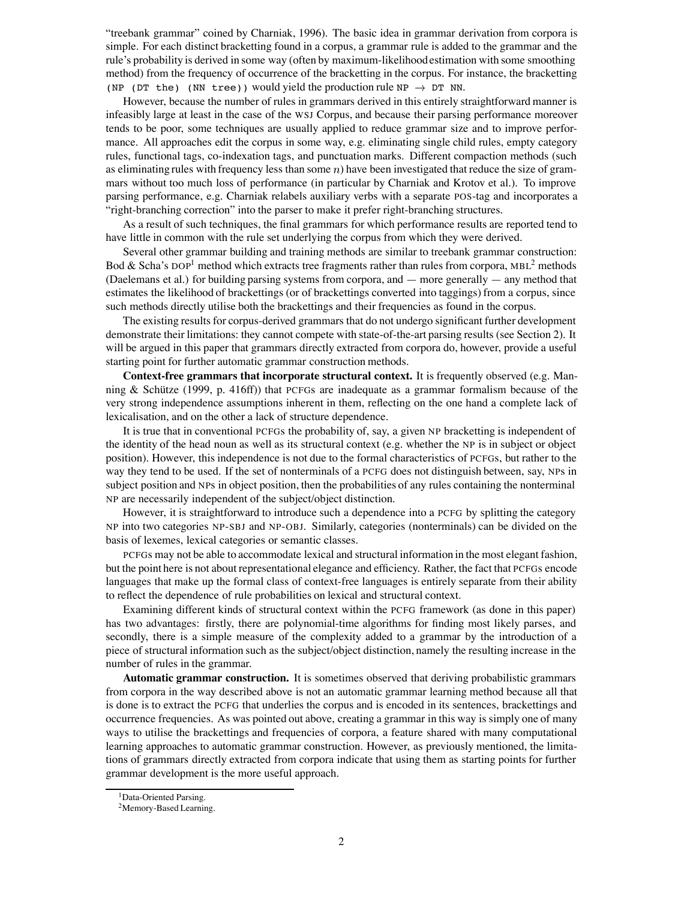"treebank grammar" coined by Charniak, 1996). The basic idea in grammar derivation from corpora is simple. For each distinct bracketting found in a corpus, a grammar rule is added to the grammar and the rule's probability is derived in some way (often by maximum-likelihoodestimation with some smoothing method) from the frequency of occurrence of the bracketting in the corpus. For instance, the bracketting (NP (DT the) (NN tree)) would yield the production rule NP  $\rightarrow$  DT NN.

However, because the number of rules in grammars derived in this entirely straightforward manner is infeasibly large at least in the case of the WSJ Corpus, and because their parsing performance moreover tends to be poor, some techniques are usually applied to reduce grammar size and to improve performance. All approaches edit the corpus in some way, e.g. eliminating single child rules, empty category rules, functional tags, co-indexation tags, and punctuation marks. Different compaction methods (such as eliminating rules with frequency less than some  $n$ ) have been investigated that reduce the size of grammars without too much loss of performance (in particular by Charniak and Krotov et al.). To improve parsing performance, e.g. Charniak relabels auxiliary verbs with a separate POS-tag and incorporates a "right-branching correction" into the parser to make it prefer right-branching structures.

As a result of such techniques, the final grammars for which performance results are reported tend to have little in common with the rule set underlying the corpus from which they were derived.

Several other grammar building and training methods are similar to treebank grammar construction: Bod & Scha's DOP<sup>1</sup> method which extracts tree fragments rather than rules from corpora, MBL<sup>2</sup> methods (Daelemans et al.) for building parsing systems from corpora, and — more generally — any method that estimates the likelihood of brackettings (or of brackettings converted into taggings) from a corpus, since such methods directly utilise both the brackettings and their frequencies as found in the corpus.

The existing results for corpus-derived grammars that do not undergo significant further development demonstrate their limitations: they cannot compete with state-of-the-art parsing results (see Section 2). It will be argued in this paper that grammars directly extracted from corpora do, however, provide a useful starting point for further automatic grammar construction methods.

**Context-free grammars that incorporate structural context.** It is frequently observed (e.g. Manning & Schütze  $(1999, p. 416\text{ff})$  that PCFGs are inadequate as a grammar formalism because of the very strong independence assumptions inherent in them, reflecting on the one hand a complete lack of lexicalisation, and on the other a lack of structure dependence.

It is true that in conventional PCFGs the probability of, say, a given NP bracketting is independent of the identity of the head noun as well as its structural context (e.g. whether the NP is in subject or object position). However, this independence is not due to the formal characteristics of PCFGs, but rather to the way they tend to be used. If the set of nonterminals of a PCFG does not distinguish between, say, NPs in subject position and NPs in object position, then the probabilities of any rules containing the nonterminal NP are necessarily independent of the subject/object distinction.

However, it is straightforward to introduce such a dependence into a PCFG by splitting the category NP into two categories NP-SBJ and NP-OBJ. Similarly, categories (nonterminals) can be divided on the basis of lexemes, lexical categories or semantic classes.

PCFGs may not be able to accommodate lexical and structural information in the most elegant fashion, but the point here is not about representational elegance and efficiency. Rather, the fact that PCFGs encode languages that make up the formal class of context-free languages is entirely separate from their ability to reflect the dependence of rule probabilities on lexical and structural context.

Examining different kinds of structural context within the PCFG framework (as done in this paper) has two advantages: firstly, there are polynomial-time algorithms for finding most likely parses, and secondly, there is a simple measure of the complexity added to a grammar by the introduction of a piece of structural information such as the subject/object distinction, namely the resulting increase in the number of rules in the grammar.

**Automatic grammar construction.** It is sometimes observed that deriving probabilistic grammars from corpora in the way described above is not an automatic grammar learning method because all that is done is to extract the PCFG that underlies the corpus and is encoded in its sentences, brackettings and occurrence frequencies. As was pointed out above, creating a grammar in this way is simply one of many ways to utilise the brackettings and frequencies of corpora, a feature shared with many computational learning approaches to automatic grammar construction. However, as previously mentioned, the limitations of grammars directly extracted from corpora indicate that using them as starting points for further grammar development is the more useful approach.

<sup>&</sup>lt;sup>1</sup>Data-Oriented Parsing.

<sup>2</sup>Memory-Based Learning.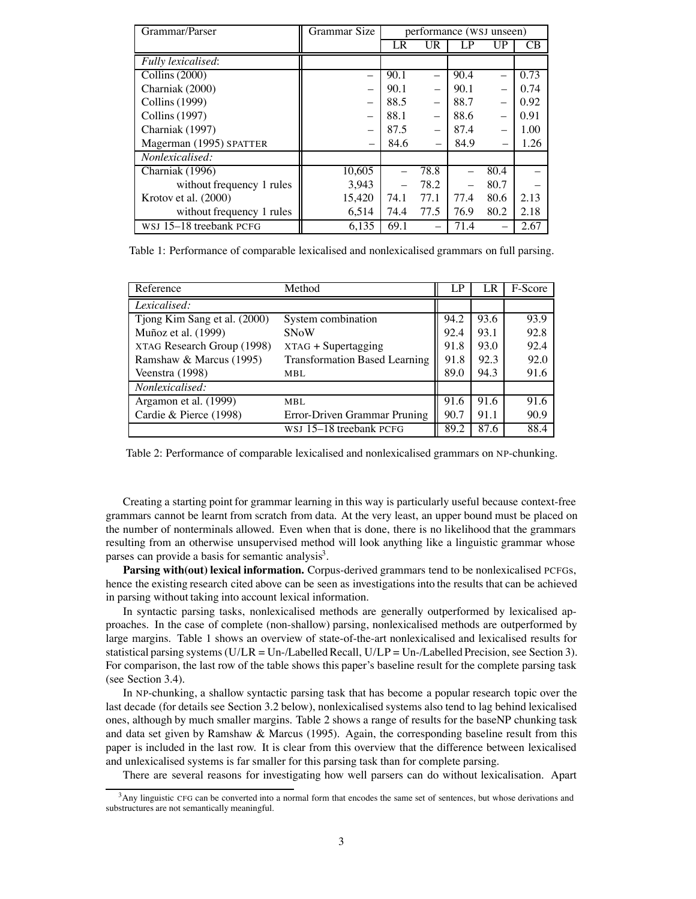| Grammar/Parser            | Grammar Size | performance (WSJ unseen) |      |      |      |      |
|---------------------------|--------------|--------------------------|------|------|------|------|
|                           |              | LR                       | UR   |      |      | CВ   |
| Fully lexicalised:        |              |                          |      |      |      |      |
| Collins (2000)            |              | 90.1                     |      | 90.4 |      | 0.73 |
| Charniak (2000)           |              | 90.1                     |      | 90.1 |      | 0.74 |
| <b>Collins</b> (1999)     |              | 88.5                     |      | 88.7 |      | 0.92 |
| Collins (1997)            |              | 88.1                     |      | 88.6 |      | 0.91 |
| Charniak (1997)           |              | 87.5                     |      | 87.4 |      | 1.00 |
| Magerman (1995) SPATTER   | -            | 84.6                     |      | 84.9 |      | 1.26 |
| Nonlexicalised:           |              |                          |      |      |      |      |
| Charniak (1996)           | 10,605       |                          | 78.8 |      | 80.4 |      |
| without frequency 1 rules | 3,943        |                          | 78.2 |      | 80.7 |      |
| Krotov et al. (2000)      | 15,420       | 74.1                     | 77.1 | 77.4 | 80.6 | 2.13 |
| without frequency 1 rules | 6,514        | 74.4                     | 77.5 | 76.9 | 80.2 | 2.18 |
| WSJ 15-18 treebank PCFG   | 6.135        | 69.1                     |      | 71.4 |      | 2.67 |

Table 1: Performance of comparable lexicalised and nonlexicalised grammars on full parsing.

| Reference                    | Method                               | LP   | LR   | F-Score |
|------------------------------|--------------------------------------|------|------|---------|
| Lexicalised:                 |                                      |      |      |         |
| Tjong Kim Sang et al. (2000) | System combination                   | 94.2 | 93.6 | 93.9    |
| Muñoz et al. (1999)          | <b>SNoW</b>                          | 92.4 | 93.1 | 92.8    |
| XTAG Research Group (1998)   | $XTAG + Supertagging$                | 91.8 | 93.0 | 92.4    |
| Ramshaw & Marcus (1995)      | <b>Transformation Based Learning</b> | 91.8 | 92.3 | 92.0    |
| Veenstra (1998)              | MBL.                                 | 89.0 | 94.3 | 91.6    |
| Nonlexicalised:              |                                      |      |      |         |
| Argamon et al. (1999)        | MBL                                  | 91.6 | 91.6 | 91.6    |
| Cardie & Pierce (1998)       | Error-Driven Grammar Pruning         | 90.7 | 91.1 | 90.9    |
|                              | WSJ 15-18 treebank PCFG              | 89.2 | 87.6 | 88.4    |

Table 2: Performance of comparable lexicalised and nonlexicalised grammars on NP-chunking.

Creating a starting point for grammar learning in this way is particularly useful because context-free grammars cannot be learnt from scratch from data. At the very least, an upper bound must be placed on the number of nonterminals allowed. Even when that is done, there is no likelihood that the grammars resulting from an otherwise unsupervised method will look anything like a linguistic grammar whose parses can provide a basis for semantic analysis<sup>3</sup>.

**Parsing with(out) lexical information.** Corpus-derived grammars tend to be nonlexicalised PCFGs, hence the existing research cited above can be seen as investigationsinto the results that can be achieved in parsing without taking into account lexical information.

In syntactic parsing tasks, nonlexicalised methods are generally outperformed by lexicalised approaches. In the case of complete (non-shallow) parsing, nonlexicalised methods are outperformed by large margins. Table 1 shows an overview of state-of-the-art nonlexicalised and lexicalised results for statistical parsing systems (U/LR = Un-/Labelled Recall, U/LP = Un-/Labelled Precision, see Section 3). For comparison, the last row of the table shows this paper's baseline result for the complete parsing task (see Section 3.4).

In NP-chunking, a shallow syntactic parsing task that has become a popular research topic over the last decade (for details see Section 3.2 below), nonlexicalised systems also tend to lag behind lexicalised ones, although by much smaller margins. Table 2 shows a range of results for the baseNP chunking task and data set given by Ramshaw & Marcus (1995). Again, the corresponding baseline result from this paper is included in the last row. It is clear from this overview that the difference between lexicalised and unlexicalised systems is far smaller for this parsing task than for complete parsing.

There are several reasons for investigating how well parsers can do without lexicalisation. Apart

<sup>&</sup>lt;sup>3</sup>Any linguistic CFG can be converted into a normal form that encodes the same set of sentences, but whose derivations and substructures are not semantically meaningful.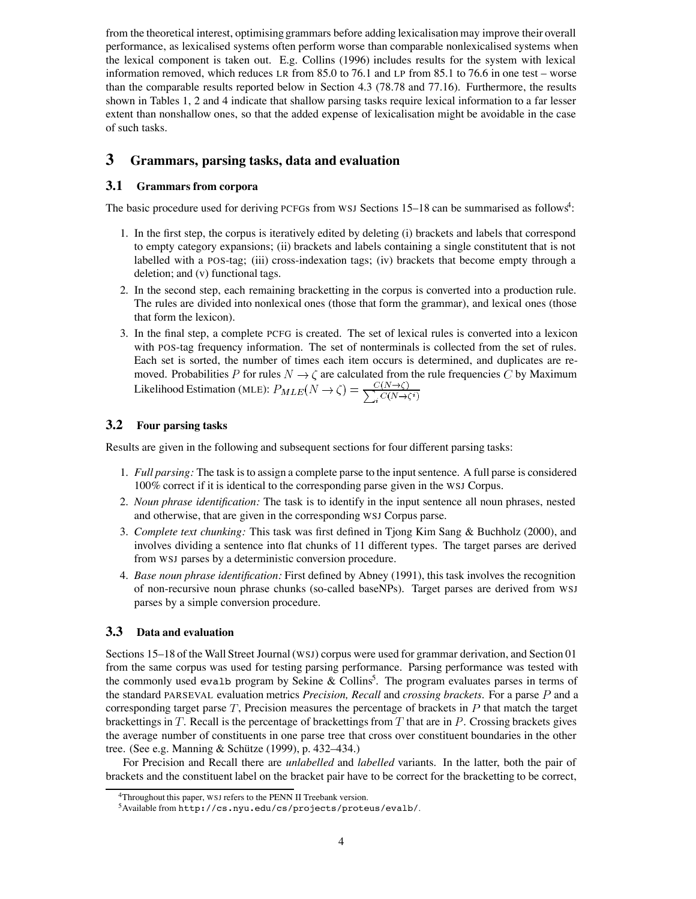from the theoretical interest, optimising grammars before adding lexicalisation may improve their overall performance, as lexicalised systems often perform worse than comparable nonlexicalised systems when the lexical component is taken out. E.g. Collins (1996) includes results for the system with lexical information removed, which reduces LR from 85.0 to 76.1 and LP from 85.1 to 76.6 in one test – worse than the comparable results reported below in Section 4.3 (78.78 and 77.16). Furthermore, the results shown in Tables 1, 2 and 4 indicate that shallow parsing tasks require lexical information to a far lesser extent than nonshallow ones, so that the added expense of lexicalisation might be avoidable in the case of such tasks.

# **3 Grammars, parsing tasks, data and evaluation**

## **3.1 Grammars from corpora**

The basic procedure used for deriving PCFGs from WSJ Sections 15-18 can be summarised as follows<sup>4</sup>:

- 1. In the first step, the corpus is iteratively edited by deleting (i) brackets and labels that correspond to empty category expansions; (ii) brackets and labels containing a single constitutent that is not labelled with a POS-tag; (iii) cross-indexation tags; (iv) brackets that become empty through a deletion; and (v) functional tags.
- 2. In the second step, each remaining bracketting in the corpus is converted into a production rule. The rules are divided into nonlexical ones (those that form the grammar), and lexical ones (those that form the lexicon).
- 3. In the final step, a complete PCFG is created. The set of lexical rules is converted into a lexicon with POS-tag frequency information. The set of nonterminals is collected from the set of rules. Each set is sorted, the number of times each item occurs is determined, and duplicates are removed. Probabilities P for rules  $N \to \zeta$  are calculated from the rule frequencies C by Maximum Likelihood Estimation (MLE):  $P_{MLE}(N \rightarrow \zeta) = \frac{C(N \rightarrow \zeta)}{\sum_{i} C(N \rightarrow \zeta^{i})}$

### **3.2 Four parsing tasks**

Results are given in the following and subsequent sections for four different parsing tasks:

- 1. *Full parsing:* The task isto assign a complete parse to the inputsentence. A full parse is considered 100% correct if it is identical to the corresponding parse given in the WSJ Corpus.
- 2. *Noun phrase identification:* The task is to identify in the input sentence all noun phrases, nested and otherwise, that are given in the corresponding WSJ Corpus parse.
- 3. *Complete text chunking:* This task was first defined in Tjong Kim Sang & Buchholz (2000), and involves dividing a sentence into flat chunks of 11 different types. The target parses are derived from WSJ parses by a deterministic conversion procedure.
- 4. *Base noun phrase identification:* First defined by Abney (1991), this task involves the recognition of non-recursive noun phrase chunks (so-called baseNPs). Target parses are derived from WSJ parses by a simple conversion procedure.

#### **3.3 Data and evaluation**

Sections 15–18 of the Wall Street Journal (WSJ) corpus were used for grammar derivation, and Section 01 from the same corpus was used for testing parsing performance. Parsing performance was tested with the commonly used evalb program by Sekine  $& Collins<sup>5</sup>$ . The program evaluates parses in terms of the standard PARSEVAL evaluation metrics *Precision, Recall* and *crossing brackets*. For a parse P and a corresponding target parse  $T$ , Precision measures the percentage of brackets in  $P$  that match the target brackettings in T. Recall is the percentage of brackettings from T that are in P. Crossing brackets gives the average number of constituents in one parse tree that cross over constituent boundaries in the other tree. (See e.g. Manning & Schütze  $(1999)$ , p. 432–434.)

For Precision and Recall there are *unlabelled* and *labelled* variants. In the latter, both the pair of brackets and the constituent label on the bracket pair have to be correct for the bracketting to be correct,

<sup>&</sup>lt;sup>4</sup>Throughout this paper, WSJ refers to the PENN II Treebank version.

<sup>5</sup>Available from http://cs.nyu.edu/cs/projects/proteus/evalb/.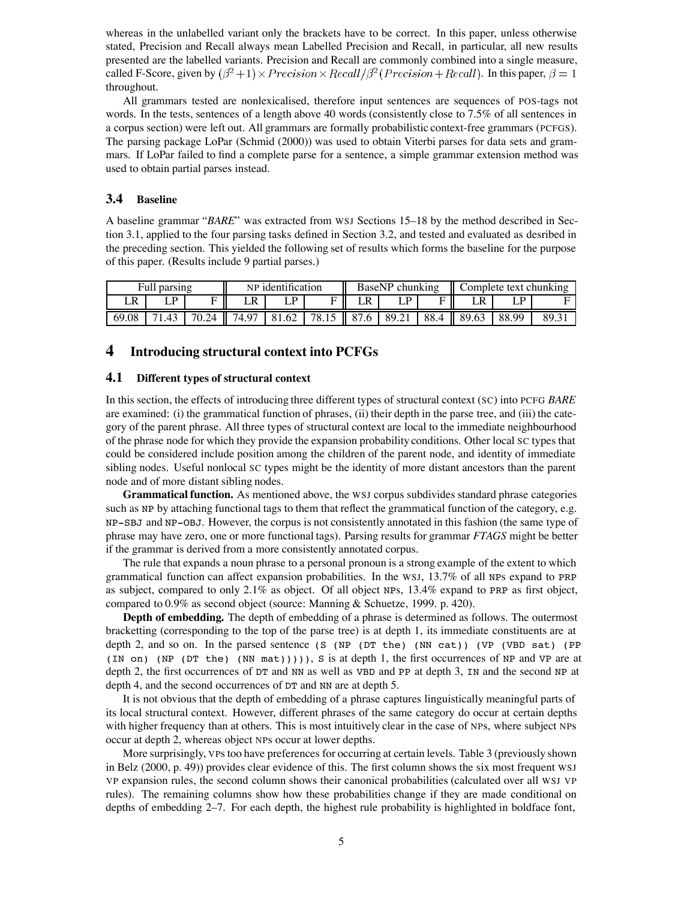whereas in the unlabelled variant only the brackets have to be correct. In this paper, unless otherwise stated, Precision and Recall always mean Labelled Precision and Recall, in particular, all new results presented are the labelled variants. Precision and Recall are commonly combined into a single measure, called F-Score, given by  $(\beta^2 + 1) \times Precision \times Recall/\beta^2 (Precision + Recall)$ . In this paper,  $\beta = 1$ throughout.

All grammars tested are nonlexicalised, therefore input sentences are sequences of POS-tags not words. In the tests, sentences of a length above 40 words (consistently close to 7.5% of all sentences in a corpus section) were left out. All grammars are formally probabilistic context-free grammars (PCFGS). The parsing package LoPar (Schmid (2000)) was used to obtain Viterbi parses for data sets and grammars. If LoPar failed to find a complete parse for a sentence, a simple grammar extension method was used to obtain partial parses instead.

## **3.4 Baseline**

A baseline grammar "*BARE*" was extracted from WSJ Sections 15–18 by the method described in Section 3.1, applied to the four parsing tasks defined in Section 3.2, and tested and evaluated as desribed in the preceding section. This yielded the following set of results which forms the baseline for the purpose of this paper. (Results include 9 partial parses.)

|       | NP identification<br>Full parsing |       |       | BaseNP chunking |       |                  | Complete text chunking |      |                   |       |      |
|-------|-----------------------------------|-------|-------|-----------------|-------|------------------|------------------------|------|-------------------|-------|------|
| LR    |                                   | Е     | LR    | D               |       |                  | D.                     |      |                   | D     |      |
| 69.08 | .43                               | 70.24 | 74.97 | 81.62           | 78.15 | $\parallel$ 87.6 | 89.21                  | 88.4 | $\parallel$ 89.63 | 88.99 | 89.3 |

# **4 Introducing structural context into PCFGs**

#### **4.1 Different types of structural context**

In this section, the effects of introducing three different types of structural context (SC) into PCFG *BARE* are examined: (i) the grammatical function of phrases, (ii) their depth in the parse tree, and (iii) the category of the parent phrase. All three types of structural context are local to the immediate neighbourhood of the phrase node for which they provide the expansion probability conditions. Other local SC types that could be considered include position among the children of the parent node, and identity of immediate sibling nodes. Useful nonlocal SC types might be the identity of more distant ancestors than the parent node and of more distant sibling nodes.

**Grammatical function.** As mentioned above, the WSJ corpus subdivides standard phrase categories such as NP by attaching functional tags to them that reflect the grammatical function of the category, e.g. NP-SBJ and NP-OBJ. However, the corpus is not consistently annotated in this fashion (the same type of phrase may have zero, one or more functional tags). Parsing results for grammar *FTAGS* might be better if the grammar is derived from a more consistently annotated corpus.

The rule that expands a noun phrase to a personal pronoun is a strong example of the extent to which grammatical function can affect expansion probabilities. In the WSJ, 13.7% of all NPs expand to PRP as subject, compared to only 2.1% as object. Of all object NPs, 13.4% expand to PRP as first object, compared to 0.9% as second object (source: Manning & Schuetze, 1999. p. 420).

**Depth of embedding.** The depth of embedding of a phrase is determined as follows. The outermost bracketting (corresponding to the top of the parse tree) is at depth 1, its immediate constituents are at depth 2, and so on. In the parsed sentence (S (NP (DT the) (NN cat)) (VP (VBD sat) (PP (IN on) (NP (DT the) (NN mat))))), S is at depth 1, the first occurrences of NP and VP are at depth 2, the first occurrences of DT and NN as well as VBD and PP at depth 3, IN and the second NP at depth 4, and the second occurrences of DT and NN are at depth 5.

It is not obvious that the depth of embedding of a phrase captures linguistically meaningful parts of its local structural context. However, different phrases of the same category do occur at certain depths with higher frequency than at others. This is most intuitively clear in the case of NPs, where subject NPs occur at depth 2, whereas object NPs occur at lower depths.

More surprisingly, VPs too have preferences for occurring at certain levels. Table 3 (previously shown in Belz (2000, p. 49)) provides clear evidence of this. The first column shows the six most frequent WSJ VP expansion rules, the second column shows their canonical probabilities (calculated over all WSJ VP rules). The remaining columns show how these probabilities change if they are made conditional on depths of embedding 2–7. For each depth, the highest rule probability is highlighted in boldface font,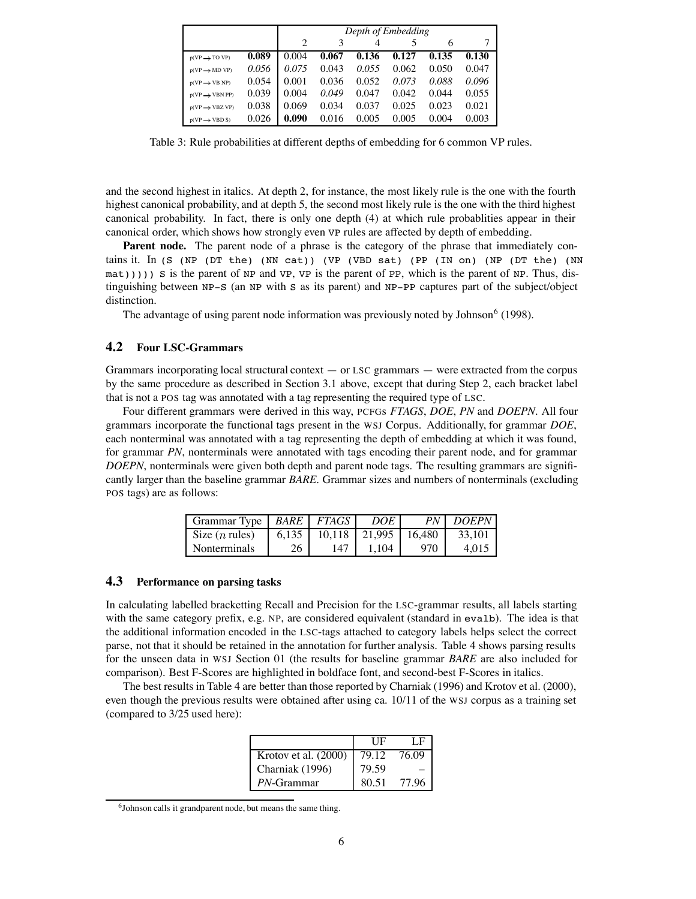|                            |       | Depth of Embedding |       |       |       |       |       |  |  |  |  |
|----------------------------|-------|--------------------|-------|-------|-------|-------|-------|--|--|--|--|
|                            |       |                    |       |       |       |       |       |  |  |  |  |
| $p(VP \rightarrow TO VP)$  | 0.089 | 0.004              | 0.067 | 0.136 | 0.127 | 0.135 | 0.130 |  |  |  |  |
| $p(VP \rightarrow MD VP)$  | 0.056 | 0.075              | 0.043 | 0.055 | 0.062 | 0.050 | 0.047 |  |  |  |  |
| $p(VP \rightarrow VB NP)$  | 0.054 | 0.001              | 0.036 | 0.052 | 0.073 | 0.088 | 0.096 |  |  |  |  |
| $p(VP \rightarrow VBN PP)$ | 0.039 | 0.004              | 0.049 | 0.047 | 0.042 | 0.044 | 0.055 |  |  |  |  |
| $p(VP \rightarrow VBZ VP)$ | 0.038 | 0.069              | 0.034 | 0.037 | 0.025 | 0.023 | 0.021 |  |  |  |  |
| $p(VP \rightarrow VBD S)$  | 0.026 | 0.090              | 0.016 | 0.005 | 0.005 | 0.004 | 0.003 |  |  |  |  |

Table 3: Rule probabilities at different depths of embedding for 6 common VP rules.

and the second highest in italics. At depth 2, for instance, the most likely rule is the one with the fourth highest canonical probability, and at depth 5, the second most likely rule is the one with the third highest canonical probability. In fact, there is only one depth (4) at which rule probablities appear in their canonical order, which shows how strongly even VP rules are affected by depth of embedding.

**Parent node.** The parent node of a phrase is the category of the phrase that immediately contains it. In (S (NP (DT the) (NN cat)) (VP (VBD sat) (PP (IN on) (NP (DT the) (NN  $m(t)$ ))) S is the parent of NP and VP, VP is the parent of PP, which is the parent of NP. Thus, distinguishing between NP-S (an NP with S as its parent) and NP-PP captures part of the subject/object distinction.

The advantage of using parent node information was previously noted by Johnson<sup>6</sup> (1998).

# **4.2 Four LSC-Grammars**

Grammars incorporating local structural context — or LSC grammars — were extracted from the corpus by the same procedure as described in Section 3.1 above, except that during Step 2, each bracket label that is not a POS tag was annotated with a tag representing the required type of LSC.

Four different grammars were derived in this way, PCFGs *FTAGS*, *DOE*, *PN* and *DOEPN*. All four grammars incorporate the functional tags present in the WSJ Corpus. Additionally, for grammar *DOE*, each nonterminal was annotated with a tag representing the depth of embedding at which it was found, for grammar *PN*, nonterminals were annotated with tags encoding their parent node, and for grammar *DOEPN*, nonterminals were given both depth and parent node tags. The resulting grammars are significantly larger than the baseline grammar *BARE*. Grammar sizes and numbers of nonterminals (excluding POS tags) are as follows:

| Grammar Type             |       | BARE FTAGS | DOE.   |        | PN   DOEPN |
|--------------------------|-------|------------|--------|--------|------------|
| Size $(n \text{ rules})$ | 6.135 | 10.118     | 21.995 | 16.480 | 33.101     |
| <b>Nonterminals</b>      | 26    | 147        | 1.104  | 970    | 4.015      |

#### **4.3 Performance on parsing tasks**

In calculating labelled bracketting Recall and Precision for the LSC-grammar results, all labels starting with the same category prefix, e.g. NP, are considered equivalent (standard in evalb). The idea is that the additional information encoded in the LSC-tags attached to category labels helps select the correct parse, not that it should be retained in the annotation for further analysis. Table 4 shows parsing results for the unseen data in WSJ Section 01 (the results for baseline grammar *BARE* are also included for comparison). Best F-Scores are highlighted in boldface font, and second-best F-Scores in italics.

The best results in Table 4 are better than those reported by Charniak (1996) and Krotov et al. (2000), even though the previous results were obtained after using ca. 10/11 of the WSJ corpus as a training set (compared to 3/25 used here):

|                      | НF    | LE    |
|----------------------|-------|-------|
| Krotov et al. (2000) | 79.12 | 76.09 |
| Charniak (1996)      | 79.59 |       |
| <i>PN</i> -Grammar   | 80.51 | 77.96 |

 $6$ Johnson calls it grandparent node, but means the same thing.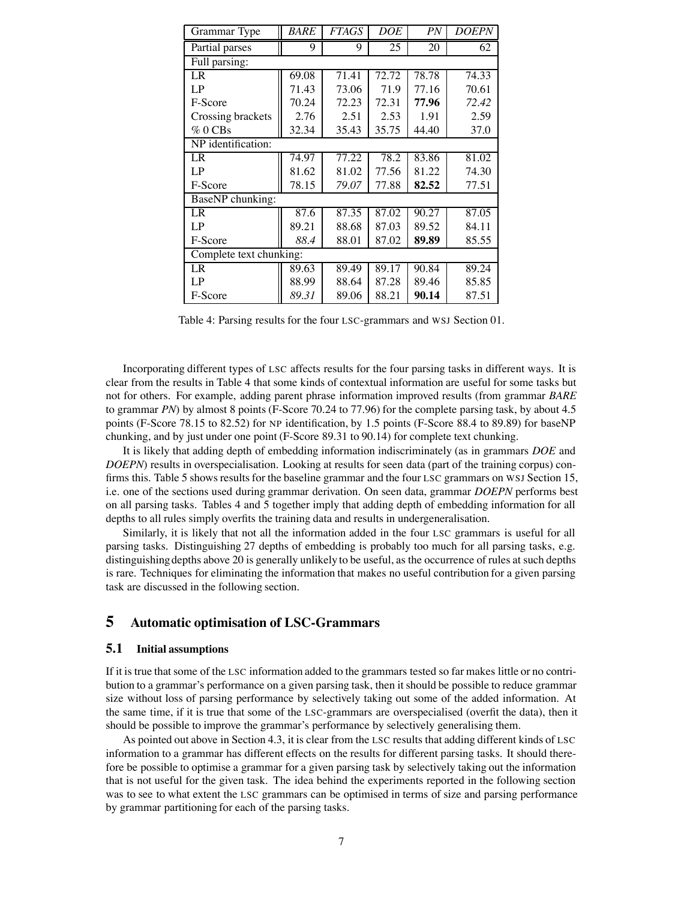| Grammar Type       | <i>BARE</i>             | <b>FTAGS</b> | DOE   | PN    | <b>DOEPN</b> |  |  |  |  |  |
|--------------------|-------------------------|--------------|-------|-------|--------------|--|--|--|--|--|
| Partial parses     | 9                       | 9            | 25    | 20    | 62           |  |  |  |  |  |
| Full parsing:      |                         |              |       |       |              |  |  |  |  |  |
| LR                 | 69.08                   | 71.41        | 72.72 | 78.78 | 74.33        |  |  |  |  |  |
| LP                 | 71.43                   | 73.06        | 71.9  | 77.16 | 70.61        |  |  |  |  |  |
| F-Score            | 70.24                   | 72.23        | 72.31 | 77.96 | 72.42        |  |  |  |  |  |
| Crossing brackets  | 2.76                    | 2.51         | 2.53  | 1.91  | 2.59         |  |  |  |  |  |
| $\%$ 0 CBs         | 32.34                   | 35.43        | 35.75 | 44.40 | 37.0         |  |  |  |  |  |
| NP identification: |                         |              |       |       |              |  |  |  |  |  |
| LR                 | 74.97                   | 77.22        | 78.2  | 83.86 | 81.02        |  |  |  |  |  |
| LP                 | 81.62                   | 81.02        | 77.56 | 81.22 | 74.30        |  |  |  |  |  |
| F-Score            | 78.15                   | 79.07        | 77.88 | 82.52 | 77.51        |  |  |  |  |  |
| BaseNP chunking:   |                         |              |       |       |              |  |  |  |  |  |
| LR                 | 87.6                    | 87.35        | 87.02 | 90.27 | 87.05        |  |  |  |  |  |
| LP                 | 89.21                   | 88.68        | 87.03 | 89.52 | 84.11        |  |  |  |  |  |
| F-Score            | 88.4                    | 88.01        | 87.02 | 89.89 | 85.55        |  |  |  |  |  |
|                    | Complete text chunking: |              |       |       |              |  |  |  |  |  |
| LR                 | 89.63                   | 89.49        | 89.17 | 90.84 | 89.24        |  |  |  |  |  |
| LP                 | 88.99                   | 88.64        | 87.28 | 89.46 | 85.85        |  |  |  |  |  |
| F-Score            | 89.31                   | 89.06        | 88.21 | 90.14 | 87.51        |  |  |  |  |  |

Table 4: Parsing results for the four LSC-grammars and WSJ Section 01.

Incorporating different types of LSC affects results for the four parsing tasks in different ways. It is clear from the results in Table 4 that some kinds of contextual information are useful for some tasks but not for others. For example, adding parent phrase information improved results (from grammar *BARE* to grammar *PN*) by almost 8 points (F-Score 70.24 to 77.96) for the complete parsing task, by about 4.5 points (F-Score 78.15 to 82.52) for NP identification, by 1.5 points (F-Score 88.4 to 89.89) for baseNP chunking, and by just under one point (F-Score 89.31 to 90.14) for complete text chunking.

It is likely that adding depth of embedding information indiscriminately (as in grammars *DOE* and *DOEPN*) results in overspecialisation. Looking at results for seen data (part of the training corpus) confirms this. Table 5 shows results for the baseline grammar and the four LSC grammars on WSJ Section 15, i.e. one of the sections used during grammar derivation. On seen data, grammar *DOEPN* performs best on all parsing tasks. Tables 4 and 5 together imply that adding depth of embedding information for all depths to all rules simply overfits the training data and results in undergeneralisation.

Similarly, it is likely that not all the information added in the four LSC grammars is useful for all parsing tasks. Distinguishing 27 depths of embedding is probably too much for all parsing tasks, e.g. distinguishingdepths above 20 is generally unlikely to be useful, as the occurrence of rules at such depths is rare. Techniques for eliminating the information that makes no useful contribution for a given parsing task are discussed in the following section.

# **5 Automatic optimisation of LSC-Grammars**

## **5.1 Initial assumptions**

If it is true that some of the LSC information added to the grammars tested so far makes little or no contribution to a grammar's performance on a given parsing task, then it should be possible to reduce grammar size without loss of parsing performance by selectively taking out some of the added information. At the same time, if it is true that some of the LSC-grammars are overspecialised (overfit the data), then it should be possible to improve the grammar's performance by selectively generalising them.

As pointed out above in Section 4.3, it is clear from the LSC results that adding different kinds of LSC information to a grammar has different effects on the results for different parsing tasks. It should therefore be possible to optimise a grammar for a given parsing task by selectively taking out the information that is not useful for the given task. The idea behind the experiments reported in the following section was to see to what extent the LSC grammars can be optimised in terms of size and parsing performance by grammar partitioning for each of the parsing tasks.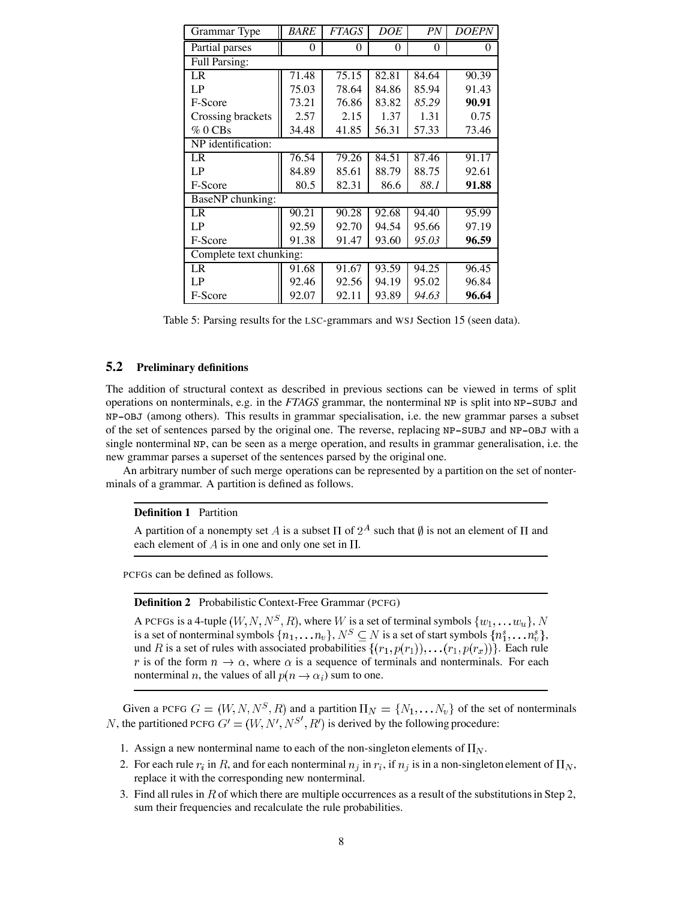| Grammar Type            | <i>BARE</i> | <i>FTAGS</i> | DOE   | PN       | <i>DOEPN</i> |  |  |  |  |  |
|-------------------------|-------------|--------------|-------|----------|--------------|--|--|--|--|--|
| Partial parses          | 0           | 0            | 0     | $\theta$ | $\theta$     |  |  |  |  |  |
| <b>Full Parsing:</b>    |             |              |       |          |              |  |  |  |  |  |
| LR                      | 71.48       | 75.15        | 82.81 | 84.64    | 90.39        |  |  |  |  |  |
| LP                      | 75.03       | 78.64        | 84.86 | 85.94    | 91.43        |  |  |  |  |  |
| F-Score                 | 73.21       | 76.86        | 83.82 | 85.29    | 90.91        |  |  |  |  |  |
| Crossing brackets       | 2.57        | 2.15         | 1.37  | 1.31     | 0.75         |  |  |  |  |  |
| %0CBs                   | 34.48       | 41.85        | 56.31 | 57.33    | 73.46        |  |  |  |  |  |
| NP identification:      |             |              |       |          |              |  |  |  |  |  |
| LR                      | 76.54       | 79.26        | 84.51 | 87.46    | 91.17        |  |  |  |  |  |
| LP                      | 84.89       | 85.61        | 88.79 | 88.75    | 92.61        |  |  |  |  |  |
| F-Score                 | 80.5        | 82.31        | 86.6  | 88.1     | 91.88        |  |  |  |  |  |
| BaseNP chunking:        |             |              |       |          |              |  |  |  |  |  |
| LR                      | 90.21       | 90.28        | 92.68 | 94.40    | 95.99        |  |  |  |  |  |
| LP                      | 92.59       | 92.70        | 94.54 | 95.66    | 97.19        |  |  |  |  |  |
| F-Score                 | 91.38       | 91.47        | 93.60 | 95.03    | 96.59        |  |  |  |  |  |
| Complete text chunking: |             |              |       |          |              |  |  |  |  |  |
| LR                      | 91.68       | 91.67        | 93.59 | 94.25    | 96.45        |  |  |  |  |  |
| LP                      | 92.46       | 92.56        | 94.19 | 95.02    | 96.84        |  |  |  |  |  |
| F-Score                 | 92.07       | 92.11        | 93.89 | 94.63    | 96.64        |  |  |  |  |  |

Table 5: Parsing results for the LSC-grammars and WSJ Section 15 (seen data).

## **5.2 Preliminary definitions**

The addition of structural context as described in previous sections can be viewed in terms of split operations on nonterminals, e.g. in the *FTAGS* grammar, the nonterminal NP is split into NP-SUBJ and NP-OBJ (among others). This results in grammar specialisation, i.e. the new grammar parses a subset of the set of sentences parsed by the original one. The reverse, replacing NP-SUBJ and NP-OBJ with a single nonterminal NP, can be seen as a merge operation, and results in grammar generalisation, i.e. the new grammar parses a superset of the sentences parsed by the original one.

An arbitrary number of such merge operations can be represented by a partition on the set of nonterminals of a grammar. A partition is defined as follows.

#### **Definition 1** Partition

A partition of a nonempty set A is a subset  $\Pi$  of  $2^A$  such that  $\emptyset$  is not an element of  $\Pi$  and each element of  $A$  is in one and only one set in  $\Pi$ .

PCFGs can be defined as follows.

## **Definition 2** Probabilistic Context-Free Grammar (PCFG)

A PCFGs is a 4-tuple  $(W, N, N^S, R)$ , where W is a set of terminal symbols  $\{w_1, \ldots w_u\}$ , N is a set of nonterminal symbols  $\{n_1, \ldots n_v\}$ ,  $N^S \subseteq N$  is a set of start symbols  $\{n_1^s, \ldots n_v^s\}$ , und R is a set of rules with associated probabilities  $\{(r_1, p(r_1)), \ldots (r_1, p(r_x))\}$ . Each rule r is of the form  $n \to \alpha$ , where  $\alpha$  is a sequence of terminals and nonterminals. For each nonterminal *n*, the values of all  $p(n \rightarrow \alpha_i)$  sum to one.

Given a PCFG  $G = (W, N, N^S, R)$  and a partition  $\Pi_N = \{N_1, \ldots N_v\}$  of the set of nonterminals , the partitioned PCFG  $G' = (W, N', N^{S'}, R')$  is derived by the following procedure:

- 1. Assign a new nonterminal name to each of the non-singleton elements of  $\Pi_N$ .
- 2. For each rule  $r_i$  in R, and for each nonterminal  $n_i$  in  $r_i$ , if  $n_j$  is in a non-singleton element of  $\Pi_N$ , replace it with the corresponding new nonterminal.
- 3. Find all rules in R of which there are multiple occurrences as a result of the substitutions in Step 2, sum their frequencies and recalculate the rule probabilities.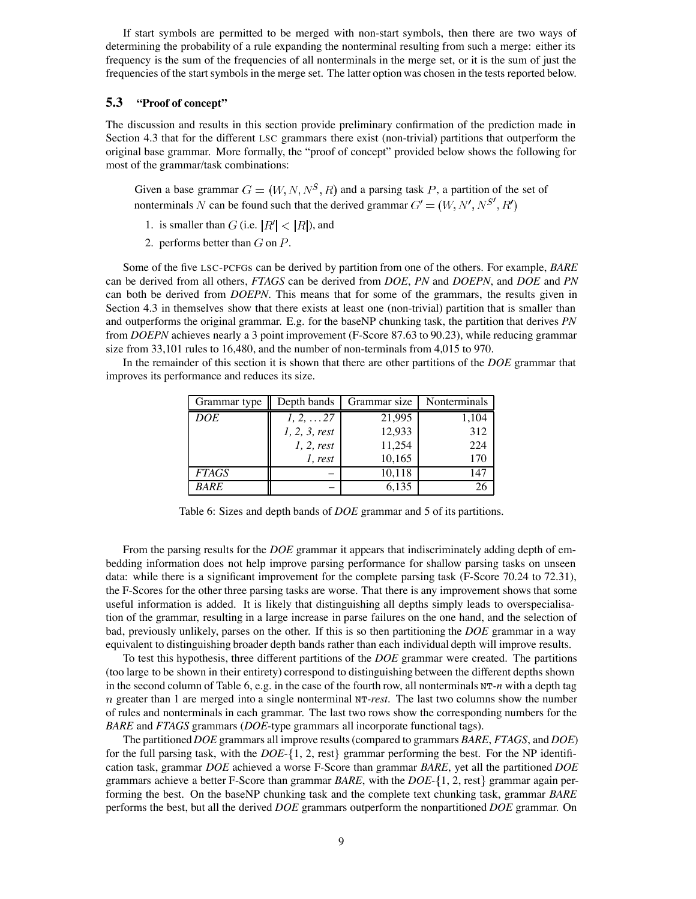If start symbols are permitted to be merged with non-start symbols, then there are two ways of determining the probability of a rule expanding the nonterminal resulting from such a merge: either its frequency is the sum of the frequencies of all nonterminals in the merge set, or it is the sum of just the frequencies of the start symbols in the merge set. The latter option was chosen in the tests reported below.

### **5.3 "Proof of concept"**

The discussion and results in this section provide preliminary confirmation of the prediction made in Section 4.3 that for the different LSC grammars there exist (non-trivial) partitions that outperform the original base grammar. More formally, the "proof of concept" provided below shows the following for most of the grammar/task combinations:

Given a base grammar  $G = (W, N, N^S, R)$  and a parsing task P, a partition of the set of nonterminals N can be found such that the derived grammar  $G' = (W, N', N^{S'}, R')$ 

- 1. is smaller than  $G$  (i.e.  $|R'| < |R|$ ), and
- 2. performs better than  $G$  on  $P$ .

Some of the five LSC-PCFGs can be derived by partition from one of the others. For example, *BARE* can be derived from all others, *FTAGS* can be derived from *DOE*, *PN* and *DOEPN*, and *DOE* and *PN* can both be derived from *DOEPN*. This means that for some of the grammars, the results given in Section 4.3 in themselves show that there exists at least one (non-trivial) partition that is smaller than and outperforms the original grammar. E.g. for the baseNP chunking task, the partition that derives *PN* from *DOEPN* achieves nearly a 3 point improvement (F-Score 87.63 to 90.23), while reducing grammar size from 33,101 rules to 16,480, and the number of non-terminals from 4,015 to 970.

In the remainder of this section it is shown that there are other partitions of the *DOE* grammar that improves its performance and reduces its size.

| Grammar type | Depth bands       | Grammar size | Nonterminals |
|--------------|-------------------|--------------|--------------|
| <b>DOE</b>   | $1, 2, \ldots 27$ | 21,995       | 1,104        |
|              | 1, 2, 3, rest     | 12,933       | 312          |
|              | 1, 2, rest        | 11,254       | 224          |
|              | 1, rest           | 10,165       | 170          |
| <b>FTAGS</b> |                   | 10,118       | 147          |
| BARE         |                   | 6,135        |              |

Table 6: Sizes and depth bands of *DOE* grammar and 5 of its partitions.

From the parsing results for the *DOE* grammar it appears that indiscriminately adding depth of embedding information does not help improve parsing performance for shallow parsing tasks on unseen data: while there is a significant improvement for the complete parsing task (F-Score 70.24 to 72.31), the F-Scores for the other three parsing tasks are worse. That there is any improvement shows that some useful information is added. It is likely that distinguishing all depths simply leads to overspecialisation of the grammar, resulting in a large increase in parse failures on the one hand, and the selection of bad, previously unlikely, parses on the other. If this is so then partitioning the *DOE* grammar in a way equivalent to distinguishing broader depth bands rather than each individual depth will improve results.

To test this hypothesis, three different partitions of the *DOE* grammar were created. The partitions (too large to be shown in their entirety) correspond to distinguishing between the different depths shown in the second column of Table 6, e.g. in the case of the fourth row, all nonterminals NT*-n* with a depth tag greater than 1 are merged into a single nonterminal NT*-rest*. The last two columns show the number of rules and nonterminals in each grammar. The last two rows show the corresponding numbers for the *BARE* and *FTAGS* grammars (*DOE*-type grammars all incorporate functional tags).

The partitioned*DOE* grammars all improve results(compared to grammars *BARE*, *FTAGS*, and *DOE*) for the full parsing task, with the  $DOE-{1, 2$ , rest grammar performing the best. For the NP identification task, grammar *DOE* achieved a worse F-Score than grammar *BARE*, yet all the partitioned *DOE* grammars achieve a better F-Score than grammar *BARE*, with the  $DOE-{1, 2, rest}$  grammar again performing the best. On the baseNP chunking task and the complete text chunking task, grammar *BARE* performs the best, but all the derived *DOE* grammars outperform the nonpartitioned *DOE* grammar. On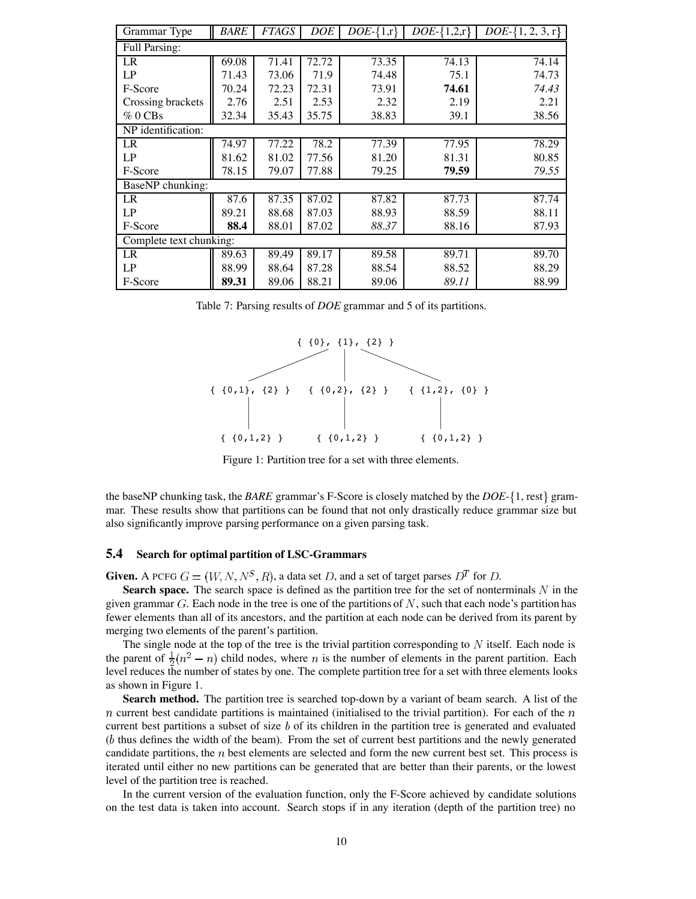| Grammar Type            | <b>BARE</b> | <b>FTAGS</b> | DOE   | $\overline{DOE}$ -{1,r} | $\overline{DOE}$ -{1,2,r} | $DOE - \{1, 2, 3, r\}$ |  |  |  |  |  |  |
|-------------------------|-------------|--------------|-------|-------------------------|---------------------------|------------------------|--|--|--|--|--|--|
| <b>Full Parsing:</b>    |             |              |       |                         |                           |                        |  |  |  |  |  |  |
| LR                      | 69.08       | 71.41        | 72.72 | 73.35                   | 74.13                     | 74.14                  |  |  |  |  |  |  |
| LP                      | 71.43       | 73.06        | 71.9  | 74.48                   | 75.1                      | 74.73                  |  |  |  |  |  |  |
| F-Score                 | 70.24       | 72.23        | 72.31 | 73.91                   | 74.61                     | 74.43                  |  |  |  |  |  |  |
| Crossing brackets       | 2.76        | 2.51         | 2.53  | 2.32                    | 2.19                      | 2.21                   |  |  |  |  |  |  |
| %0CBs                   | 32.34       | 35.43        | 35.75 | 38.83                   | 39.1                      | 38.56                  |  |  |  |  |  |  |
| NP identification:      |             |              |       |                         |                           |                        |  |  |  |  |  |  |
| LR                      | 74.97       | 77.22        | 78.2  | 77.39                   | 77.95                     | 78.29                  |  |  |  |  |  |  |
| LP                      | 81.62       | 81.02        | 77.56 | 81.20                   | 81.31                     | 80.85                  |  |  |  |  |  |  |
| F-Score                 | 78.15       | 79.07        | 77.88 | 79.25                   | 79.59                     | 79.55                  |  |  |  |  |  |  |
| BaseNP chunking:        |             |              |       |                         |                           |                        |  |  |  |  |  |  |
| LR                      | 87.6        | 87.35        | 87.02 | 87.82                   | 87.73                     | 87.74                  |  |  |  |  |  |  |
| LP                      | 89.21       | 88.68        | 87.03 | 88.93                   | 88.59                     | 88.11                  |  |  |  |  |  |  |
| F-Score                 | 88.4        | 88.01        | 87.02 | 88.37                   | 88.16                     | 87.93                  |  |  |  |  |  |  |
| Complete text chunking: |             |              |       |                         |                           |                        |  |  |  |  |  |  |
| LR                      | 89.63       | 89.49        | 89.17 | 89.58                   | 89.71                     | 89.70                  |  |  |  |  |  |  |
| LP                      | 88.99       | 88.64        | 87.28 | 88.54                   | 88.52                     | 88.29                  |  |  |  |  |  |  |
| F-Score                 | 89.31       | 89.06        | 88.21 | 89.06                   | 89.11                     | 88.99                  |  |  |  |  |  |  |

Table 7: Parsing results of *DOE* grammar and 5 of its partitions.



Figure 1: Partition tree for a set with three elements.

the baseNP chunking task, the *BARE* grammar's F-Score is closely matched by the *DOE*- 1, rest grammar. These results show that partitions can be found that not only drastically reduce grammar size but also significantly improve parsing performance on a given parsing task.

### **5.4 Search for optimal partition of LSC-Grammars**

**Given.** A PCFG  $G = (W, N, N^S, R)$ , a data set D, and a set of target parses  $D^T$  for D.

**Search space.** The search space is defined as the partition tree for the set of nonterminals  $N$  in the given grammar  $G$ . Each node in the tree is one of the partitions of  $N$ , such that each node's partition has fewer elements than all of its ancestors, and the partition at each node can be derived from its parent by merging two elements of the parent's partition.

The single node at the top of the tree is the trivial partition corresponding to N itself. Each node is the parent of  $\frac{1}{2}(n^2 - n)$  child nodes, where *n* is the number of elements in the parent partition. Each level reduces the number of states by one. The complete partition tree for a set with three elements looks as shown in Figure 1.

**Search method.** The partition tree is searched top-down by a variant of beam search. A list of the  $n$  current best candidate partitions is maintained (initialised to the trivial partition). For each of the  $n$ current best partitions a subset of size  $b$  of its children in the partition tree is generated and evaluated  $(b)$  thus defines the width of the beam). From the set of current best partitions and the newly generated candidate partitions, the  $n$  best elements are selected and form the new current best set. This process is iterated until either no new partitions can be generated that are better than their parents, or the lowest level of the partition tree is reached.

In the current version of the evaluation function, only the F-Score achieved by candidate solutions on the test data is taken into account. Search stops if in any iteration (depth of the partition tree) no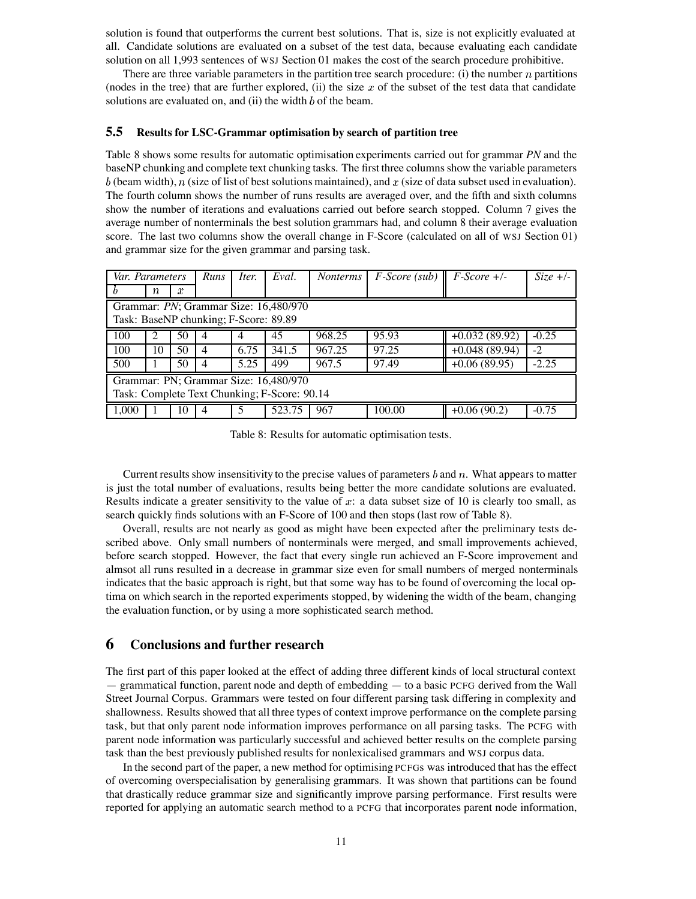solution is found that outperforms the current best solutions. That is, size is not explicitly evaluated at all. Candidate solutions are evaluated on a subset of the test data, because evaluating each candidate solution on all 1,993 sentences of WSJ Section 01 makes the cost of the search procedure prohibitive.

There are three variable parameters in the partition tree search procedure: (i) the number  $n$  partitions (nodes in the tree) that are further explored, (ii) the size  $x$  of the subset of the test data that candidate solutions are evaluated on, and (ii) the width  $b$  of the beam.

### **5.5 Results for LSC-Grammar optimisation by search of partition tree**

Table 8 shows some results for automatic optimisation experiments carried out for grammar *PN* and the baseNP chunking and complete text chunking tasks. The first three columns show the variable parameters  $b$  (beam width),  $n$  (size of list of best solutions maintained), and  $x$  (size of data subset used in evaluation). The fourth column shows the number of runs results are averaged over, and the fifth and sixth columns show the number of iterations and evaluations carried out before search stopped. Column 7 gives the average number of nonterminals the best solution grammars had, and column 8 their average evaluation score. The last two columns show the overall change in F-Score (calculated on all of WSJ Section 01) and grammar size for the given grammar and parsing task.

| Var. Parameters                              |                                       |    | Runs                                  | Iter. | Eval.  | <i>Nonterms</i> | $F-Score$ (sub) $\parallel$ F-Score +/- |                 | $Size +/-$ |  |  |  |
|----------------------------------------------|---------------------------------------|----|---------------------------------------|-------|--------|-----------------|-----------------------------------------|-----------------|------------|--|--|--|
|                                              | $\, n$                                | x  |                                       |       |        |                 |                                         |                 |            |  |  |  |
|                                              | Grammar: PN; Grammar Size: 16,480/970 |    |                                       |       |        |                 |                                         |                 |            |  |  |  |
|                                              |                                       |    | Task: BaseNP chunking; F-Score: 89.89 |       |        |                 |                                         |                 |            |  |  |  |
| 100                                          | 2                                     | 50 | 4                                     | 4     | 45     | 968.25          | 95.93                                   | $+0.032(89.92)$ | $-0.25$    |  |  |  |
| 100                                          | 10                                    | 50 | $\overline{4}$                        | 6.75  | 341.5  | 967.25          | 97.25                                   | $+0.048(89.94)$ | $-2$       |  |  |  |
| 500                                          |                                       | 50 | 4                                     | 5.25  | 499    | 967.5           | 97.49                                   | $+0.06(89.95)$  | $-2.25$    |  |  |  |
|                                              | Grammar: PN; Grammar Size: 16,480/970 |    |                                       |       |        |                 |                                         |                 |            |  |  |  |
| Task: Complete Text Chunking; F-Score: 90.14 |                                       |    |                                       |       |        |                 |                                         |                 |            |  |  |  |
| 1.000                                        |                                       | 10 | 4                                     | 5     | 523.75 | 967             | 100.00                                  | $+0.06(90.2)$   | $-0.75$    |  |  |  |

Table 8: Results for automatic optimisation tests.

Current results show insensitivity to the precise values of parameters  $b$  and  $n$ . What appears to matter is just the total number of evaluations, results being better the more candidate solutions are evaluated. Results indicate a greater sensitivity to the value of  $x$ : a data subset size of 10 is clearly too small, as search quickly finds solutions with an F-Score of 100 and then stops (last row of Table 8).

Overall, results are not nearly as good as might have been expected after the preliminary tests described above. Only small numbers of nonterminals were merged, and small improvements achieved, before search stopped. However, the fact that every single run achieved an F-Score improvement and almsot all runs resulted in a decrease in grammar size even for small numbers of merged nonterminals indicates that the basic approach is right, but that some way has to be found of overcoming the local optima on which search in the reported experiments stopped, by widening the width of the beam, changing the evaluation function, or by using a more sophisticated search method.

## **6 Conclusions and further research**

The first part of this paper looked at the effect of adding three different kinds of local structural context — grammatical function, parent node and depth of embedding — to a basic PCFG derived from the Wall Street Journal Corpus. Grammars were tested on four different parsing task differing in complexity and shallowness. Results showed that all three types of context improve performance on the complete parsing task, but that only parent node information improves performance on all parsing tasks. The PCFG with parent node information was particularly successful and achieved better results on the complete parsing task than the best previously published results for nonlexicalised grammars and WSJ corpus data.

In the second part of the paper, a new method for optimising PCFGs was introduced that has the effect of overcoming overspecialisation by generalising grammars. It was shown that partitions can be found that drastically reduce grammar size and significantly improve parsing performance. First results were reported for applying an automatic search method to a PCFG that incorporates parent node information,